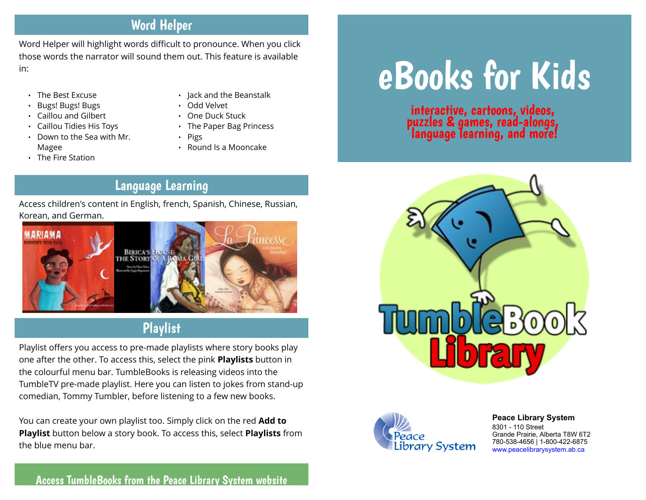#### Word Helper

Word Helper will highlight words difficult to pronounce. When you click those words the narrator will sound them out. This feature is available in:

- The Best Excuse
- Bugs! Bugs! Bugs
- Caillou and Gilbert
- Caillou Tidies His Toys
- Down to the Sea with Mr. Magee
- The Fire Station
- Jack and the Beanstalk
- Odd Velvet
- One Duck Stuck
- The Paper Bag Princess
- Pigs
- Round Is a Mooncake

#### Language Learning

Access children's content in English, french, Spanish, Chinese, Russian, Korean, and German.



### Playlist

Playlist offers you access to pre-made playlists where story books play one after the other. To access this, select the pink Playlists button in the colourful menu bar. TumbleBooks is releasing videos into the TumbleTV pre-made playlist. Here you can listen to jokes from stand-up comedian, Tommy Tumbler, before listening to a few new books.

You can create your own playlist too. Simply click on the red Add to Playlist button below a story book. To access this, select Playlists from the blue menu bar.

# eBooks for Kids

interactive, cartoons, videos, puzzles & games, read-alongs, language learning, and more!





**[P](http://4la.co/1KCGYA)eace Library System** [8](http://4la.co/1KCGYA)301 - 110 Street Grande Prairie, Alberta T8W 6T2 780-538-4656 | 1-800-422-6875 [www.peacelibrarysystem.ab.ca](http://4la.co/1KCGYA)

#### Access TumbleBooks from the Peace Library System website